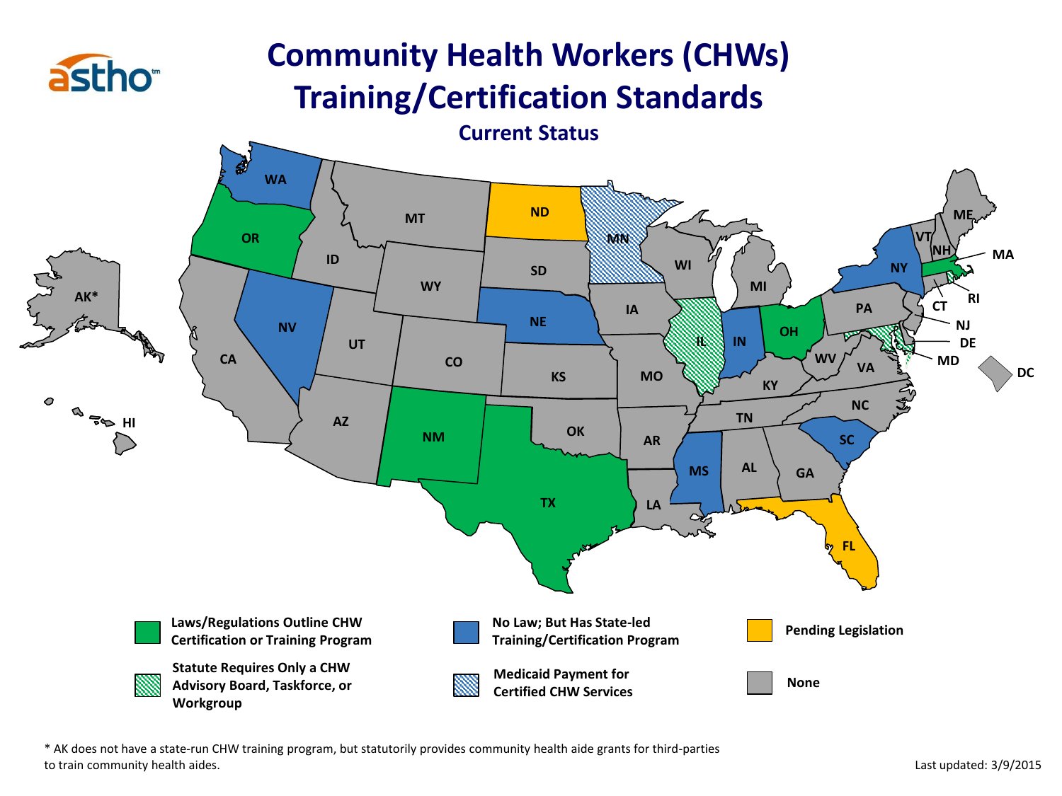

## **Community Health Workers (CHWs) Training/Certification Standards**



\* AK does not have a state-run CHW training program, but statutorily provides community health aide grants for third-parties to train community health aides.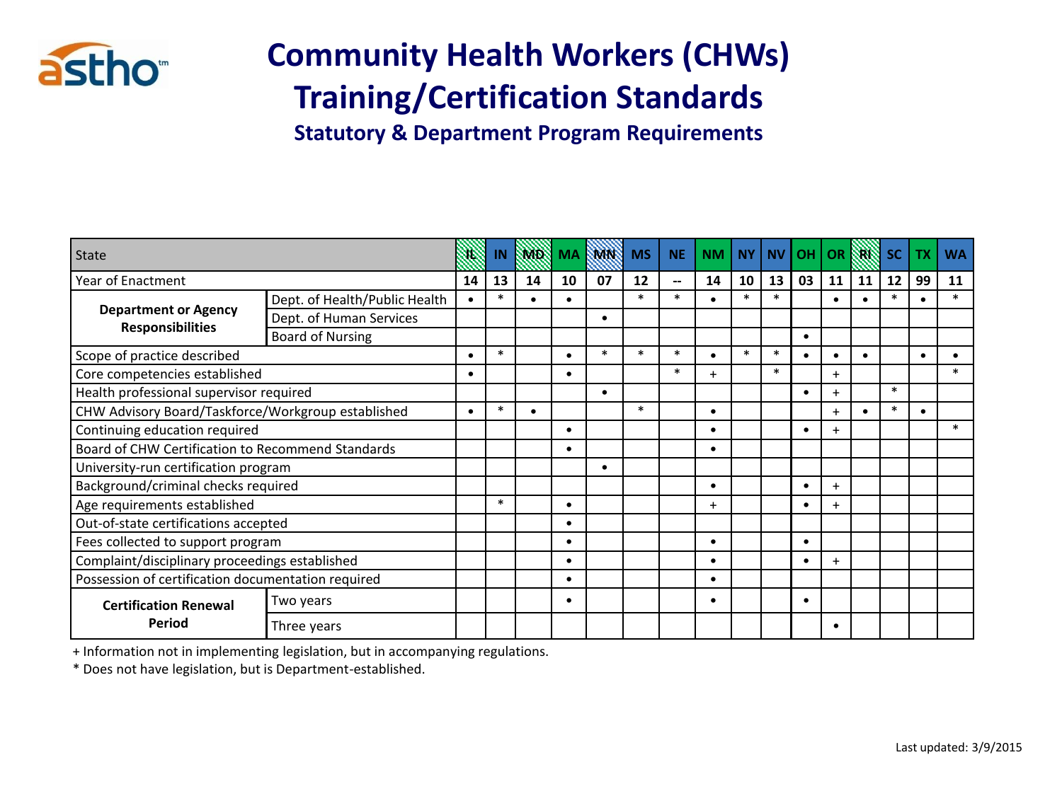

## **Community Health Workers (CHWs) Training/Certification Standards**

**Statutory & Department Program Requirements**

| State                                                  |                               |           | IN     | SMD.      | MA        | <b>TM N</b> | <b>MS</b> | <b>NE</b>                | <b>NM</b> | <b>NY</b> | <b>NV</b> | <b>OH</b> | <b>OR</b> |    | <b>SC</b> |           | <b>WA</b> |
|--------------------------------------------------------|-------------------------------|-----------|--------|-----------|-----------|-------------|-----------|--------------------------|-----------|-----------|-----------|-----------|-----------|----|-----------|-----------|-----------|
| Year of Enactment                                      |                               | 14        | 13     | 14        | 10        | 07          | 12        | $\overline{\phantom{a}}$ | 14        | 10        | 13        | 03        | 11        | 11 | 12        | 99        | 11        |
|                                                        | Dept. of Health/Public Health | $\bullet$ | $\ast$ | $\bullet$ | $\bullet$ |             | $\ast$    | $\ast$                   |           | $\ast$    | $\ast$    |           | $\bullet$ |    | $\ast$    |           | $\ast$    |
| <b>Department or Agency</b><br><b>Responsibilities</b> | Dept. of Human Services       |           |        |           |           | ٠           |           |                          |           |           |           |           |           |    |           |           |           |
|                                                        | <b>Board of Nursing</b>       |           |        |           |           |             |           |                          |           |           |           | $\bullet$ |           |    |           |           |           |
| Scope of practice described                            |                               |           | $\ast$ |           |           | $\ast$      | $\ast$    | $\ast$                   |           | $\ast$    | $\ast$    |           | $\bullet$ |    |           | $\bullet$ |           |
| Core competencies established                          |                               |           |        |           |           |             |           | $\ast$                   |           |           | $\ast$    |           | $\ddot{}$ |    |           |           |           |
| Health professional supervisor required                |                               |           |        |           |           | $\bullet$   |           |                          |           |           |           |           |           |    | $\ast$    |           |           |
| CHW Advisory Board/Taskforce/Workgroup established     |                               |           | $\ast$ | $\bullet$ |           |             | $\ast$    |                          | $\bullet$ |           |           |           | $+$       |    | $\ast$    | $\bullet$ |           |
| Continuing education required                          |                               |           |        |           | $\bullet$ |             |           |                          | $\bullet$ |           |           |           | $\ddot{}$ |    |           |           | $\ast$    |
| Board of CHW Certification to Recommend Standards      |                               |           |        |           | ٠         |             |           |                          |           |           |           |           |           |    |           |           |           |
| University-run certification program                   |                               |           |        |           |           | ٠           |           |                          |           |           |           |           |           |    |           |           |           |
| Background/criminal checks required                    |                               |           |        |           |           |             |           |                          | ٠         |           |           |           | $\ddot{}$ |    |           |           |           |
| Age requirements established                           |                               |           | $\ast$ |           | $\bullet$ |             |           |                          | $\ddot{}$ |           |           |           | $\ddot{}$ |    |           |           |           |
| Out-of-state certifications accepted                   |                               |           |        |           |           |             |           |                          |           |           |           |           |           |    |           |           |           |
| Fees collected to support program                      |                               |           |        |           | $\bullet$ |             |           |                          | ٠         |           |           |           |           |    |           |           |           |
| Complaint/disciplinary proceedings established         |                               |           |        |           | ٠         |             |           |                          | ٠         |           |           |           | $\ddot{}$ |    |           |           |           |
| Possession of certification documentation required     |                               |           |        |           | $\bullet$ |             |           |                          |           |           |           |           |           |    |           |           |           |
| <b>Certification Renewal</b>                           | Two years                     |           |        |           | ٠         |             |           |                          |           |           |           |           |           |    |           |           |           |
| Period                                                 | Three years                   |           |        |           |           |             |           |                          |           |           |           |           | ٠         |    |           |           |           |

+ Information not in implementing legislation, but in accompanying regulations.

\* Does not have legislation, but is Department-established.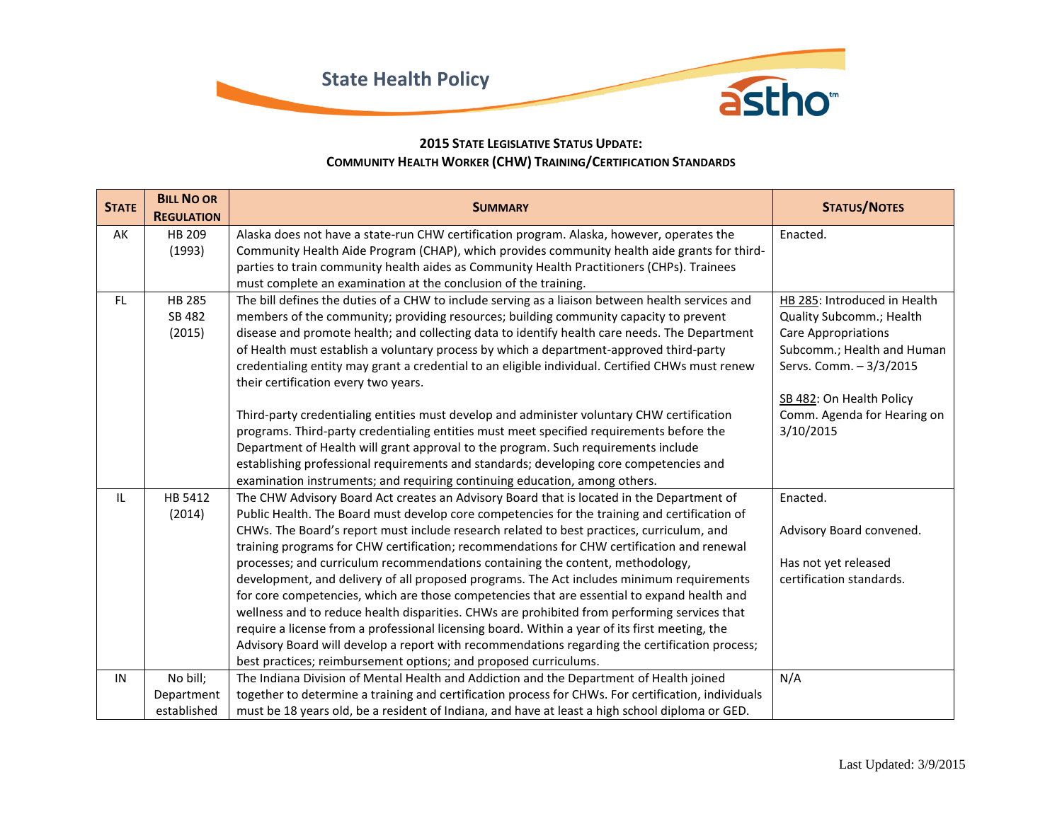

## **2015 STATE LEGISLATIVE STATUS UPDATE: COMMUNITY HEALTH WORKER (CHW) TRAINING/CERTIFICATION STANDARDS**

| <b>STATE</b> | <b>BILL NO OR</b> | <b>SUMMARY</b>                                                                                                                                                                          | <b>STATUS/NOTES</b>          |
|--------------|-------------------|-----------------------------------------------------------------------------------------------------------------------------------------------------------------------------------------|------------------------------|
|              | <b>REGULATION</b> |                                                                                                                                                                                         |                              |
| AK           | HB 209            | Alaska does not have a state-run CHW certification program. Alaska, however, operates the                                                                                               | Enacted.                     |
|              | (1993)            | Community Health Aide Program (CHAP), which provides community health aide grants for third-                                                                                            |                              |
|              |                   | parties to train community health aides as Community Health Practitioners (CHPs). Trainees                                                                                              |                              |
|              |                   | must complete an examination at the conclusion of the training.                                                                                                                         |                              |
| FL.          | <b>HB 285</b>     | The bill defines the duties of a CHW to include serving as a liaison between health services and                                                                                        | HB 285: Introduced in Health |
|              | SB 482            | members of the community; providing resources; building community capacity to prevent                                                                                                   | Quality Subcomm.; Health     |
|              | (2015)            | disease and promote health; and collecting data to identify health care needs. The Department                                                                                           | <b>Care Appropriations</b>   |
|              |                   | of Health must establish a voluntary process by which a department-approved third-party                                                                                                 | Subcomm.; Health and Human   |
|              |                   | credentialing entity may grant a credential to an eligible individual. Certified CHWs must renew                                                                                        | Servs. Comm. - 3/3/2015      |
|              |                   | their certification every two years.                                                                                                                                                    |                              |
|              |                   |                                                                                                                                                                                         | SB 482: On Health Policy     |
|              |                   | Third-party credentialing entities must develop and administer voluntary CHW certification                                                                                              | Comm. Agenda for Hearing on  |
|              |                   | programs. Third-party credentialing entities must meet specified requirements before the                                                                                                | 3/10/2015                    |
|              |                   | Department of Health will grant approval to the program. Such requirements include                                                                                                      |                              |
|              |                   | establishing professional requirements and standards; developing core competencies and                                                                                                  |                              |
|              |                   | examination instruments; and requiring continuing education, among others.                                                                                                              |                              |
| IL.          | HB 5412           | The CHW Advisory Board Act creates an Advisory Board that is located in the Department of                                                                                               | Enacted.                     |
|              | (2014)            | Public Health. The Board must develop core competencies for the training and certification of                                                                                           |                              |
|              |                   | CHWs. The Board's report must include research related to best practices, curriculum, and<br>training programs for CHW certification; recommendations for CHW certification and renewal | Advisory Board convened.     |
|              |                   | processes; and curriculum recommendations containing the content, methodology,                                                                                                          | Has not yet released         |
|              |                   | development, and delivery of all proposed programs. The Act includes minimum requirements                                                                                               | certification standards.     |
|              |                   | for core competencies, which are those competencies that are essential to expand health and                                                                                             |                              |
|              |                   | wellness and to reduce health disparities. CHWs are prohibited from performing services that                                                                                            |                              |
|              |                   | require a license from a professional licensing board. Within a year of its first meeting, the                                                                                          |                              |
|              |                   | Advisory Board will develop a report with recommendations regarding the certification process;                                                                                          |                              |
|              |                   | best practices; reimbursement options; and proposed curriculums.                                                                                                                        |                              |
| IN           | No bill;          | The Indiana Division of Mental Health and Addiction and the Department of Health joined                                                                                                 | N/A                          |
|              | Department        | together to determine a training and certification process for CHWs. For certification, individuals                                                                                     |                              |
|              | established       | must be 18 years old, be a resident of Indiana, and have at least a high school diploma or GED.                                                                                         |                              |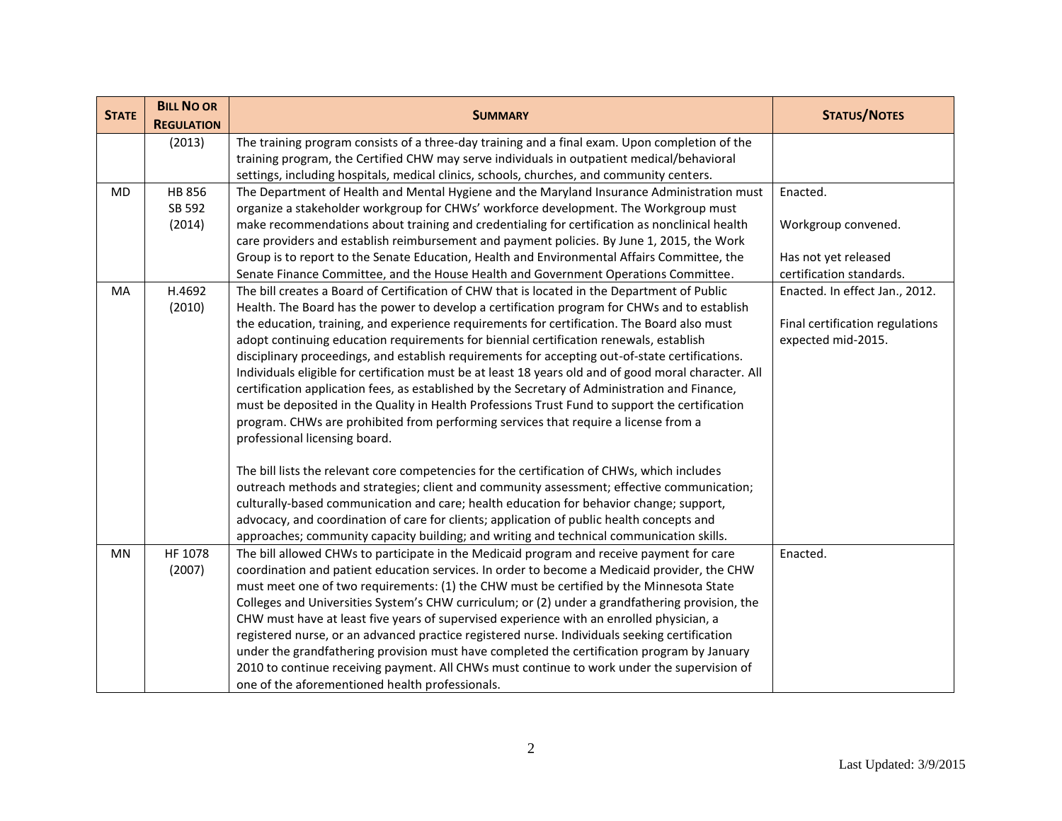| <b>STATE</b> | <b>BILL NO OR</b> |                                                                                                       |                                 |
|--------------|-------------------|-------------------------------------------------------------------------------------------------------|---------------------------------|
|              | <b>REGULATION</b> | <b>SUMMARY</b>                                                                                        | <b>STATUS/NOTES</b>             |
|              | (2013)            | The training program consists of a three-day training and a final exam. Upon completion of the        |                                 |
|              |                   | training program, the Certified CHW may serve individuals in outpatient medical/behavioral            |                                 |
|              |                   | settings, including hospitals, medical clinics, schools, churches, and community centers.             |                                 |
| MD           | HB 856            | The Department of Health and Mental Hygiene and the Maryland Insurance Administration must            | Enacted.                        |
|              | SB 592            | organize a stakeholder workgroup for CHWs' workforce development. The Workgroup must                  |                                 |
|              | (2014)            | make recommendations about training and credentialing for certification as nonclinical health         | Workgroup convened.             |
|              |                   | care providers and establish reimbursement and payment policies. By June 1, 2015, the Work            |                                 |
|              |                   | Group is to report to the Senate Education, Health and Environmental Affairs Committee, the           | Has not yet released            |
|              |                   | Senate Finance Committee, and the House Health and Government Operations Committee.                   | certification standards.        |
| MA           | H.4692            | The bill creates a Board of Certification of CHW that is located in the Department of Public          | Enacted. In effect Jan., 2012.  |
|              | (2010)            | Health. The Board has the power to develop a certification program for CHWs and to establish          |                                 |
|              |                   | the education, training, and experience requirements for certification. The Board also must           | Final certification regulations |
|              |                   | adopt continuing education requirements for biennial certification renewals, establish                | expected mid-2015.              |
|              |                   | disciplinary proceedings, and establish requirements for accepting out-of-state certifications.       |                                 |
|              |                   | Individuals eligible for certification must be at least 18 years old and of good moral character. All |                                 |
|              |                   | certification application fees, as established by the Secretary of Administration and Finance,        |                                 |
|              |                   | must be deposited in the Quality in Health Professions Trust Fund to support the certification        |                                 |
|              |                   | program. CHWs are prohibited from performing services that require a license from a                   |                                 |
|              |                   | professional licensing board.                                                                         |                                 |
|              |                   | The bill lists the relevant core competencies for the certification of CHWs, which includes           |                                 |
|              |                   | outreach methods and strategies; client and community assessment; effective communication;            |                                 |
|              |                   | culturally-based communication and care; health education for behavior change; support,               |                                 |
|              |                   | advocacy, and coordination of care for clients; application of public health concepts and             |                                 |
|              |                   | approaches; community capacity building; and writing and technical communication skills.              |                                 |
| MN           | HF 1078           | The bill allowed CHWs to participate in the Medicaid program and receive payment for care             | Enacted.                        |
|              | (2007)            | coordination and patient education services. In order to become a Medicaid provider, the CHW          |                                 |
|              |                   | must meet one of two requirements: (1) the CHW must be certified by the Minnesota State               |                                 |
|              |                   | Colleges and Universities System's CHW curriculum; or (2) under a grandfathering provision, the       |                                 |
|              |                   | CHW must have at least five years of supervised experience with an enrolled physician, a              |                                 |
|              |                   | registered nurse, or an advanced practice registered nurse. Individuals seeking certification         |                                 |
|              |                   | under the grandfathering provision must have completed the certification program by January           |                                 |
|              |                   | 2010 to continue receiving payment. All CHWs must continue to work under the supervision of           |                                 |
|              |                   | one of the aforementioned health professionals.                                                       |                                 |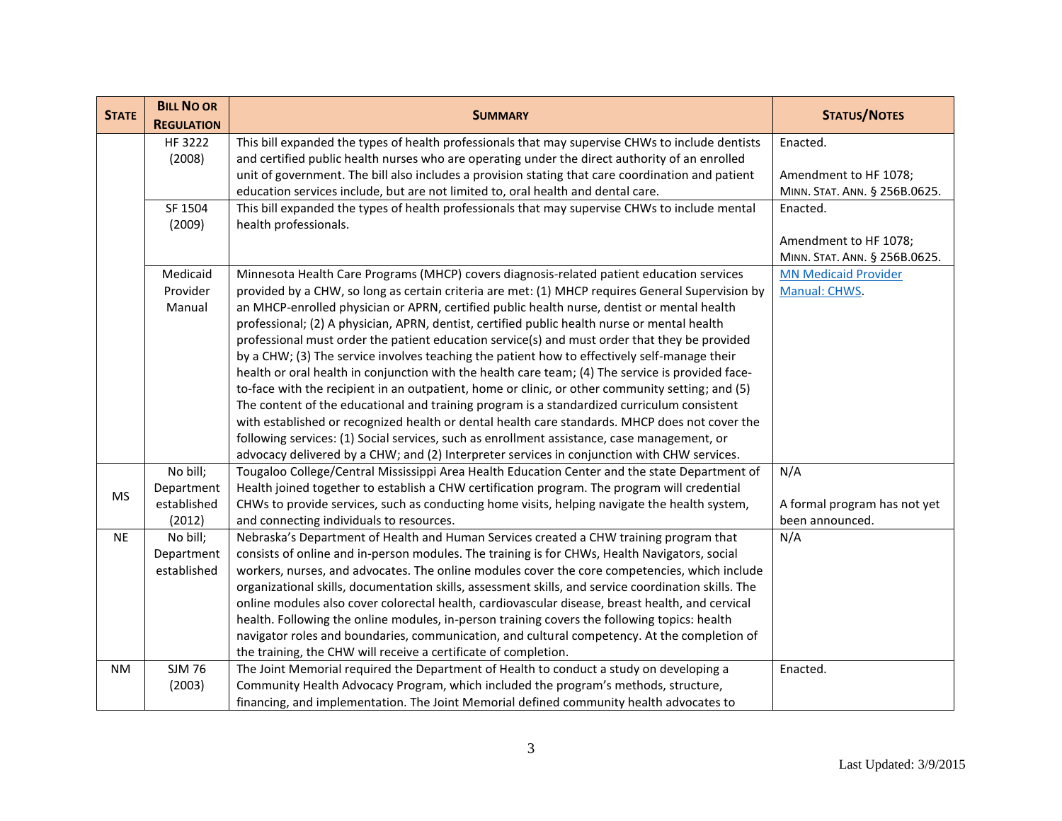| <b>STATE</b> | <b>BILL NO OR</b>               | <b>SUMMARY</b>                                                                                                                     | <b>STATUS/NOTES</b>                             |
|--------------|---------------------------------|------------------------------------------------------------------------------------------------------------------------------------|-------------------------------------------------|
|              | <b>REGULATION</b>               |                                                                                                                                    |                                                 |
|              | HF 3222                         | This bill expanded the types of health professionals that may supervise CHWs to include dentists                                   | Enacted.                                        |
|              | (2008)                          | and certified public health nurses who are operating under the direct authority of an enrolled                                     |                                                 |
|              |                                 | unit of government. The bill also includes a provision stating that care coordination and patient                                  | Amendment to HF 1078;                           |
|              |                                 | education services include, but are not limited to, oral health and dental care.                                                   | MINN. STAT. ANN. § 256B.0625.                   |
|              | SF 1504                         | This bill expanded the types of health professionals that may supervise CHWs to include mental                                     | Enacted.                                        |
|              | health professionals.<br>(2009) |                                                                                                                                    |                                                 |
|              |                                 |                                                                                                                                    | Amendment to HF 1078;                           |
|              |                                 |                                                                                                                                    | MINN. STAT. ANN. § 256B.0625.                   |
|              | Medicaid                        | Minnesota Health Care Programs (MHCP) covers diagnosis-related patient education services                                          | <b>MN Medicaid Provider</b>                     |
|              | Provider                        | provided by a CHW, so long as certain criteria are met: (1) MHCP requires General Supervision by                                   | Manual: CHWS.                                   |
|              | Manual                          | an MHCP-enrolled physician or APRN, certified public health nurse, dentist or mental health                                        |                                                 |
|              |                                 | professional; (2) A physician, APRN, dentist, certified public health nurse or mental health                                       |                                                 |
|              |                                 | professional must order the patient education service(s) and must order that they be provided                                      |                                                 |
|              |                                 | by a CHW; (3) The service involves teaching the patient how to effectively self-manage their                                       |                                                 |
|              |                                 | health or oral health in conjunction with the health care team; (4) The service is provided face-                                  |                                                 |
|              |                                 | to-face with the recipient in an outpatient, home or clinic, or other community setting; and (5)                                   |                                                 |
|              |                                 | The content of the educational and training program is a standardized curriculum consistent                                        |                                                 |
|              |                                 | with established or recognized health or dental health care standards. MHCP does not cover the                                     |                                                 |
|              |                                 | following services: (1) Social services, such as enrollment assistance, case management, or                                        |                                                 |
|              |                                 | advocacy delivered by a CHW; and (2) Interpreter services in conjunction with CHW services.                                        |                                                 |
|              | No bill;                        | Tougaloo College/Central Mississippi Area Health Education Center and the state Department of                                      | N/A                                             |
| MS           | Department<br>established       | Health joined together to establish a CHW certification program. The program will credential                                       |                                                 |
|              | (2012)                          | CHWs to provide services, such as conducting home visits, helping navigate the health system,                                      | A formal program has not yet<br>been announced. |
| <b>NE</b>    | No bill;                        | and connecting individuals to resources.<br>Nebraska's Department of Health and Human Services created a CHW training program that | N/A                                             |
|              | Department                      | consists of online and in-person modules. The training is for CHWs, Health Navigators, social                                      |                                                 |
|              | established                     | workers, nurses, and advocates. The online modules cover the core competencies, which include                                      |                                                 |
|              |                                 | organizational skills, documentation skills, assessment skills, and service coordination skills. The                               |                                                 |
|              |                                 | online modules also cover colorectal health, cardiovascular disease, breast health, and cervical                                   |                                                 |
|              |                                 | health. Following the online modules, in-person training covers the following topics: health                                       |                                                 |
|              |                                 | navigator roles and boundaries, communication, and cultural competency. At the completion of                                       |                                                 |
|              |                                 | the training, the CHW will receive a certificate of completion.                                                                    |                                                 |
| <b>NM</b>    | <b>SJM 76</b>                   | The Joint Memorial required the Department of Health to conduct a study on developing a                                            | Enacted.                                        |
|              | (2003)                          | Community Health Advocacy Program, which included the program's methods, structure,                                                |                                                 |
|              |                                 | financing, and implementation. The Joint Memorial defined community health advocates to                                            |                                                 |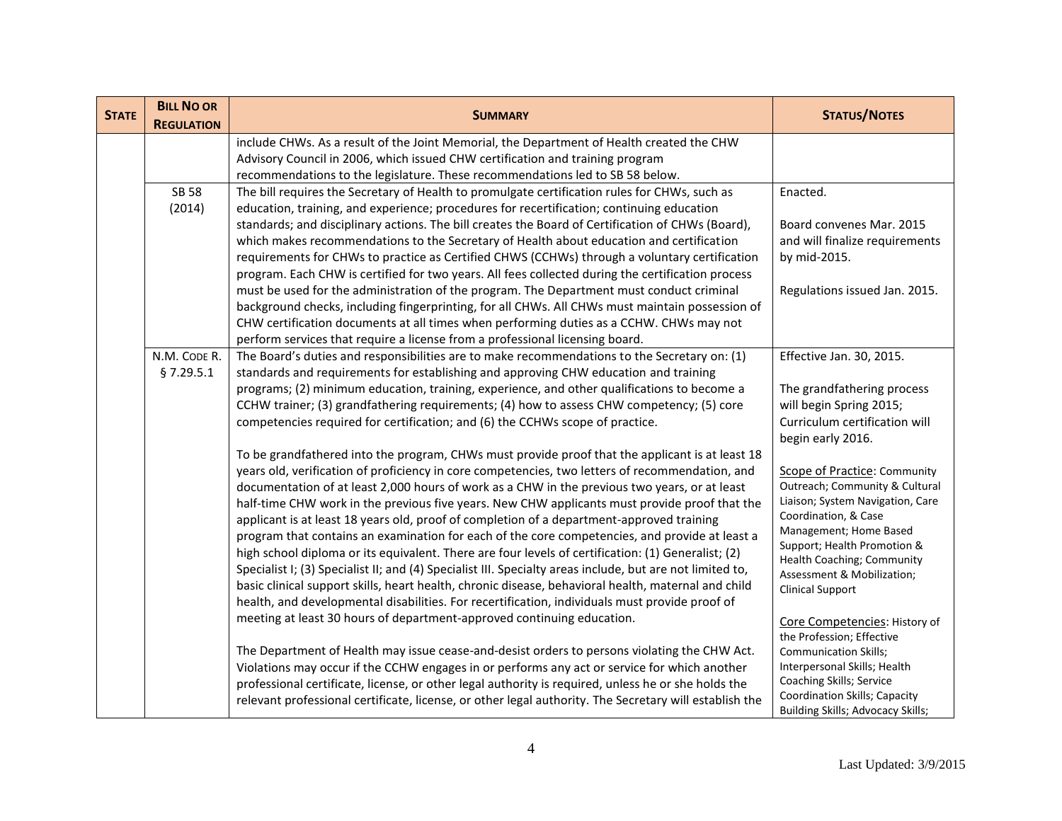| <b>STATE</b> | <b>BILL NO OR</b><br><b>REGULATION</b>                                                       | <b>SUMMARY</b>                                                                                            | <b>STATUS/NOTES</b>                                                |
|--------------|----------------------------------------------------------------------------------------------|-----------------------------------------------------------------------------------------------------------|--------------------------------------------------------------------|
|              |                                                                                              | include CHWs. As a result of the Joint Memorial, the Department of Health created the CHW                 |                                                                    |
|              |                                                                                              | Advisory Council in 2006, which issued CHW certification and training program                             |                                                                    |
|              |                                                                                              | recommendations to the legislature. These recommendations led to SB 58 below.                             |                                                                    |
|              | <b>SB 58</b>                                                                                 | The bill requires the Secretary of Health to promulgate certification rules for CHWs, such as             | Enacted.                                                           |
|              | (2014)                                                                                       | education, training, and experience; procedures for recertification; continuing education                 |                                                                    |
|              |                                                                                              | standards; and disciplinary actions. The bill creates the Board of Certification of CHWs (Board),         | Board convenes Mar. 2015                                           |
|              |                                                                                              | which makes recommendations to the Secretary of Health about education and certification                  | and will finalize requirements                                     |
|              |                                                                                              | requirements for CHWs to practice as Certified CHWS (CCHWs) through a voluntary certification             | by mid-2015.                                                       |
|              |                                                                                              | program. Each CHW is certified for two years. All fees collected during the certification process         |                                                                    |
|              |                                                                                              | must be used for the administration of the program. The Department must conduct criminal                  | Regulations issued Jan. 2015.                                      |
|              |                                                                                              | background checks, including fingerprinting, for all CHWs. All CHWs must maintain possession of           |                                                                    |
|              |                                                                                              | CHW certification documents at all times when performing duties as a CCHW. CHWs may not                   |                                                                    |
|              |                                                                                              | perform services that require a license from a professional licensing board.                              |                                                                    |
|              | N.M. CODE R.                                                                                 | The Board's duties and responsibilities are to make recommendations to the Secretary on: (1)              | Effective Jan. 30, 2015.                                           |
|              | \$7.29.5.1                                                                                   | standards and requirements for establishing and approving CHW education and training                      |                                                                    |
|              |                                                                                              | programs; (2) minimum education, training, experience, and other qualifications to become a               | The grandfathering process                                         |
|              |                                                                                              | CCHW trainer; (3) grandfathering requirements; (4) how to assess CHW competency; (5) core                 | will begin Spring 2015;<br>Curriculum certification will           |
|              |                                                                                              | competencies required for certification; and (6) the CCHWs scope of practice.                             | begin early 2016.                                                  |
|              |                                                                                              | To be grandfathered into the program, CHWs must provide proof that the applicant is at least 18           |                                                                    |
|              |                                                                                              | years old, verification of proficiency in core competencies, two letters of recommendation, and           | Scope of Practice: Community                                       |
|              |                                                                                              | documentation of at least 2,000 hours of work as a CHW in the previous two years, or at least             | Outreach; Community & Cultural                                     |
|              |                                                                                              | half-time CHW work in the previous five years. New CHW applicants must provide proof that the             | Liaison; System Navigation, Care                                   |
|              |                                                                                              | applicant is at least 18 years old, proof of completion of a department-approved training                 | Coordination, & Case                                               |
|              |                                                                                              | program that contains an examination for each of the core competencies, and provide at least a            | Management; Home Based                                             |
|              |                                                                                              | high school diploma or its equivalent. There are four levels of certification: (1) Generalist; (2)        | Support; Health Promotion &<br>Health Coaching; Community          |
|              |                                                                                              | Specialist I; (3) Specialist II; and (4) Specialist III. Specialty areas include, but are not limited to, | Assessment & Mobilization;                                         |
|              |                                                                                              | basic clinical support skills, heart health, chronic disease, behavioral health, maternal and child       | <b>Clinical Support</b>                                            |
|              |                                                                                              | health, and developmental disabilities. For recertification, individuals must provide proof of            |                                                                    |
|              |                                                                                              | meeting at least 30 hours of department-approved continuing education.                                    | Core Competencies: History of<br>the Profession; Effective         |
|              | The Department of Health may issue cease-and-desist orders to persons violating the CHW Act. |                                                                                                           | Communication Skills;                                              |
|              |                                                                                              | Violations may occur if the CCHW engages in or performs any act or service for which another              | Interpersonal Skills; Health                                       |
|              |                                                                                              | professional certificate, license, or other legal authority is required, unless he or she holds the       | Coaching Skills; Service                                           |
|              |                                                                                              | relevant professional certificate, license, or other legal authority. The Secretary will establish the    | Coordination Skills; Capacity<br>Building Skills; Advocacy Skills; |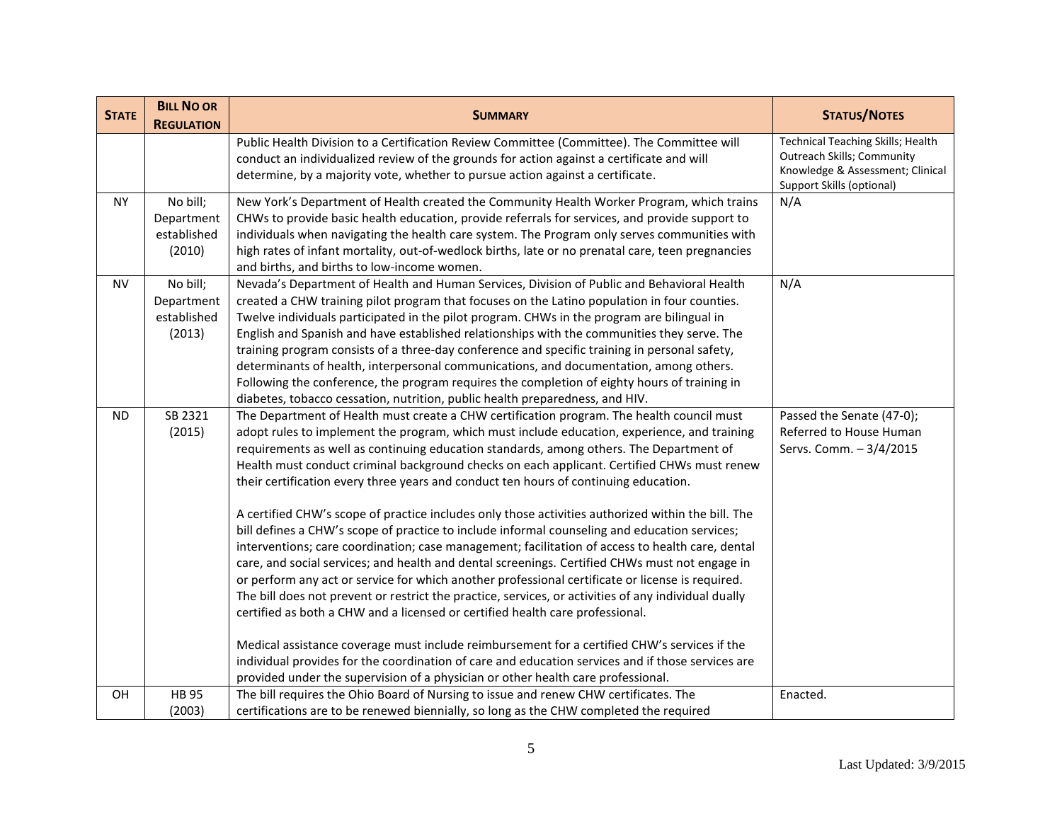| <b>STATE</b> | <b>BILL NO OR</b><br><b>REGULATION</b>          | <b>SUMMARY</b>                                                                                                                                                                                                                                                                                                                                                                                                                                                                                                                                                                                                                                                                                                                                                                                                                                                                                                                                                                                                                                                                                                                                                                                                                                                                                                                                                                                                                                                                 | <b>STATUS/NOTES</b>                                                                                                                            |
|--------------|-------------------------------------------------|--------------------------------------------------------------------------------------------------------------------------------------------------------------------------------------------------------------------------------------------------------------------------------------------------------------------------------------------------------------------------------------------------------------------------------------------------------------------------------------------------------------------------------------------------------------------------------------------------------------------------------------------------------------------------------------------------------------------------------------------------------------------------------------------------------------------------------------------------------------------------------------------------------------------------------------------------------------------------------------------------------------------------------------------------------------------------------------------------------------------------------------------------------------------------------------------------------------------------------------------------------------------------------------------------------------------------------------------------------------------------------------------------------------------------------------------------------------------------------|------------------------------------------------------------------------------------------------------------------------------------------------|
|              |                                                 | Public Health Division to a Certification Review Committee (Committee). The Committee will<br>conduct an individualized review of the grounds for action against a certificate and will<br>determine, by a majority vote, whether to pursue action against a certificate.                                                                                                                                                                                                                                                                                                                                                                                                                                                                                                                                                                                                                                                                                                                                                                                                                                                                                                                                                                                                                                                                                                                                                                                                      | <b>Technical Teaching Skills; Health</b><br><b>Outreach Skills; Community</b><br>Knowledge & Assessment; Clinical<br>Support Skills (optional) |
| <b>NY</b>    | No bill;<br>Department<br>established<br>(2010) | New York's Department of Health created the Community Health Worker Program, which trains<br>CHWs to provide basic health education, provide referrals for services, and provide support to<br>individuals when navigating the health care system. The Program only serves communities with<br>high rates of infant mortality, out-of-wedlock births, late or no prenatal care, teen pregnancies<br>and births, and births to low-income women.                                                                                                                                                                                                                                                                                                                                                                                                                                                                                                                                                                                                                                                                                                                                                                                                                                                                                                                                                                                                                                | N/A                                                                                                                                            |
| <b>NV</b>    | No bill;<br>Department<br>established<br>(2013) | Nevada's Department of Health and Human Services, Division of Public and Behavioral Health<br>created a CHW training pilot program that focuses on the Latino population in four counties.<br>Twelve individuals participated in the pilot program. CHWs in the program are bilingual in<br>English and Spanish and have established relationships with the communities they serve. The<br>training program consists of a three-day conference and specific training in personal safety,<br>determinants of health, interpersonal communications, and documentation, among others.<br>Following the conference, the program requires the completion of eighty hours of training in<br>diabetes, tobacco cessation, nutrition, public health preparedness, and HIV.                                                                                                                                                                                                                                                                                                                                                                                                                                                                                                                                                                                                                                                                                                             | N/A                                                                                                                                            |
| ND.          | SB 2321<br>(2015)                               | The Department of Health must create a CHW certification program. The health council must<br>adopt rules to implement the program, which must include education, experience, and training<br>requirements as well as continuing education standards, among others. The Department of<br>Health must conduct criminal background checks on each applicant. Certified CHWs must renew<br>their certification every three years and conduct ten hours of continuing education.<br>A certified CHW's scope of practice includes only those activities authorized within the bill. The<br>bill defines a CHW's scope of practice to include informal counseling and education services;<br>interventions; care coordination; case management; facilitation of access to health care, dental<br>care, and social services; and health and dental screenings. Certified CHWs must not engage in<br>or perform any act or service for which another professional certificate or license is required.<br>The bill does not prevent or restrict the practice, services, or activities of any individual dually<br>certified as both a CHW and a licensed or certified health care professional.<br>Medical assistance coverage must include reimbursement for a certified CHW's services if the<br>individual provides for the coordination of care and education services and if those services are<br>provided under the supervision of a physician or other health care professional. | Passed the Senate (47-0);<br>Referred to House Human<br>Servs. Comm. - 3/4/2015                                                                |
| OН           | <b>HB95</b><br>(2003)                           | The bill requires the Ohio Board of Nursing to issue and renew CHW certificates. The<br>certifications are to be renewed biennially, so long as the CHW completed the required                                                                                                                                                                                                                                                                                                                                                                                                                                                                                                                                                                                                                                                                                                                                                                                                                                                                                                                                                                                                                                                                                                                                                                                                                                                                                                 | Enacted.                                                                                                                                       |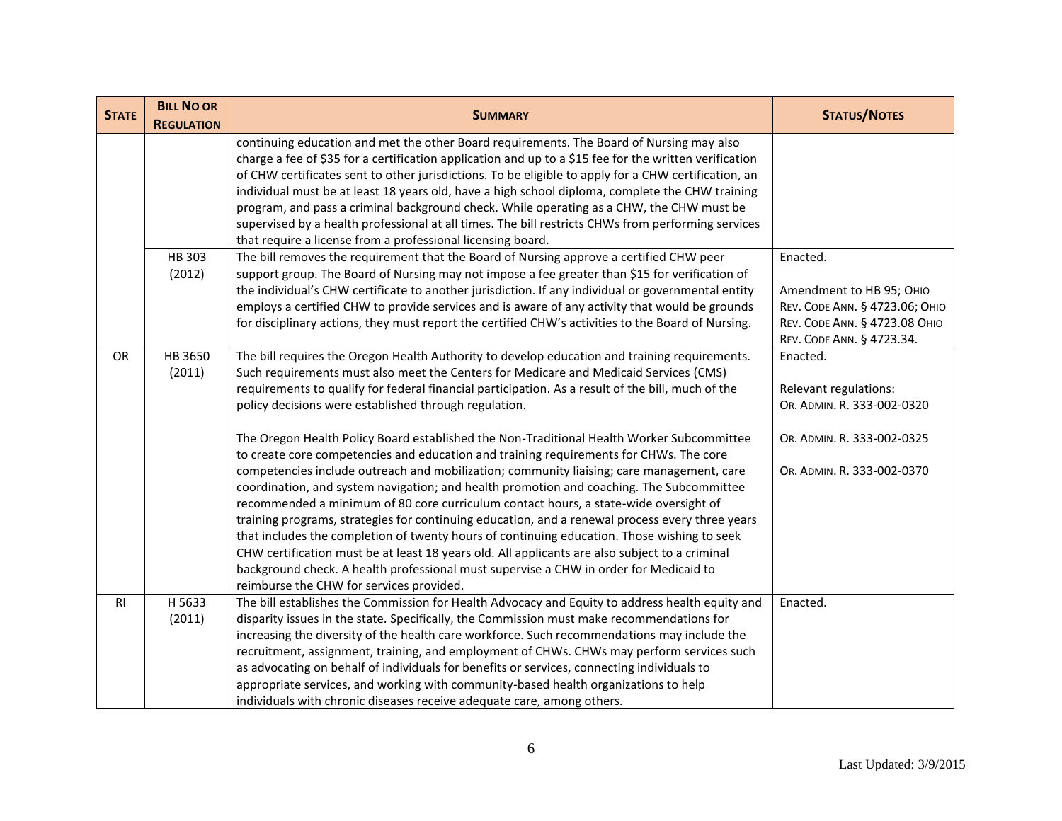| <b>STATE</b> | <b>BILL NO OR</b> | <b>SUMMARY</b>                                                                                                                                                                                                                                                                                                                                                                                                                                                                                                                                                                                                                                                                                                                                                                                                                                                                                                                  | <b>STATUS/NOTES</b>                                                                                                         |
|--------------|-------------------|---------------------------------------------------------------------------------------------------------------------------------------------------------------------------------------------------------------------------------------------------------------------------------------------------------------------------------------------------------------------------------------------------------------------------------------------------------------------------------------------------------------------------------------------------------------------------------------------------------------------------------------------------------------------------------------------------------------------------------------------------------------------------------------------------------------------------------------------------------------------------------------------------------------------------------|-----------------------------------------------------------------------------------------------------------------------------|
|              | <b>REGULATION</b> |                                                                                                                                                                                                                                                                                                                                                                                                                                                                                                                                                                                                                                                                                                                                                                                                                                                                                                                                 |                                                                                                                             |
|              |                   | continuing education and met the other Board requirements. The Board of Nursing may also<br>charge a fee of \$35 for a certification application and up to a \$15 fee for the written verification<br>of CHW certificates sent to other jurisdictions. To be eligible to apply for a CHW certification, an<br>individual must be at least 18 years old, have a high school diploma, complete the CHW training<br>program, and pass a criminal background check. While operating as a CHW, the CHW must be<br>supervised by a health professional at all times. The bill restricts CHWs from performing services<br>that require a license from a professional licensing board.                                                                                                                                                                                                                                                  |                                                                                                                             |
|              | HB 303            | The bill removes the requirement that the Board of Nursing approve a certified CHW peer                                                                                                                                                                                                                                                                                                                                                                                                                                                                                                                                                                                                                                                                                                                                                                                                                                         | Enacted.                                                                                                                    |
|              | (2012)            | support group. The Board of Nursing may not impose a fee greater than \$15 for verification of<br>the individual's CHW certificate to another jurisdiction. If any individual or governmental entity<br>employs a certified CHW to provide services and is aware of any activity that would be grounds<br>for disciplinary actions, they must report the certified CHW's activities to the Board of Nursing.                                                                                                                                                                                                                                                                                                                                                                                                                                                                                                                    | Amendment to HB 95; OHIO<br>REV. CODE ANN. § 4723.06; OHIO<br>REV. CODE ANN. § 4723.08 OHIO<br>REV. CODE ANN. § 4723.34.    |
| <b>OR</b>    | HB 3650<br>(2011) | The bill requires the Oregon Health Authority to develop education and training requirements.<br>Such requirements must also meet the Centers for Medicare and Medicaid Services (CMS)<br>requirements to qualify for federal financial participation. As a result of the bill, much of the<br>policy decisions were established through regulation.<br>The Oregon Health Policy Board established the Non-Traditional Health Worker Subcommittee<br>to create core competencies and education and training requirements for CHWs. The core<br>competencies include outreach and mobilization; community liaising; care management, care<br>coordination, and system navigation; and health promotion and coaching. The Subcommittee<br>recommended a minimum of 80 core curriculum contact hours, a state-wide oversight of<br>training programs, strategies for continuing education, and a renewal process every three years | Enacted.<br>Relevant regulations:<br>OR. ADMIN. R. 333-002-0320<br>OR. ADMIN. R. 333-002-0325<br>OR. ADMIN. R. 333-002-0370 |
|              |                   | that includes the completion of twenty hours of continuing education. Those wishing to seek<br>CHW certification must be at least 18 years old. All applicants are also subject to a criminal<br>background check. A health professional must supervise a CHW in order for Medicaid to<br>reimburse the CHW for services provided.                                                                                                                                                                                                                                                                                                                                                                                                                                                                                                                                                                                              |                                                                                                                             |
| <b>RI</b>    | H 5633<br>(2011)  | The bill establishes the Commission for Health Advocacy and Equity to address health equity and<br>disparity issues in the state. Specifically, the Commission must make recommendations for<br>increasing the diversity of the health care workforce. Such recommendations may include the<br>recruitment, assignment, training, and employment of CHWs. CHWs may perform services such<br>as advocating on behalf of individuals for benefits or services, connecting individuals to<br>appropriate services, and working with community-based health organizations to help<br>individuals with chronic diseases receive adequate care, among others.                                                                                                                                                                                                                                                                         | Enacted.                                                                                                                    |